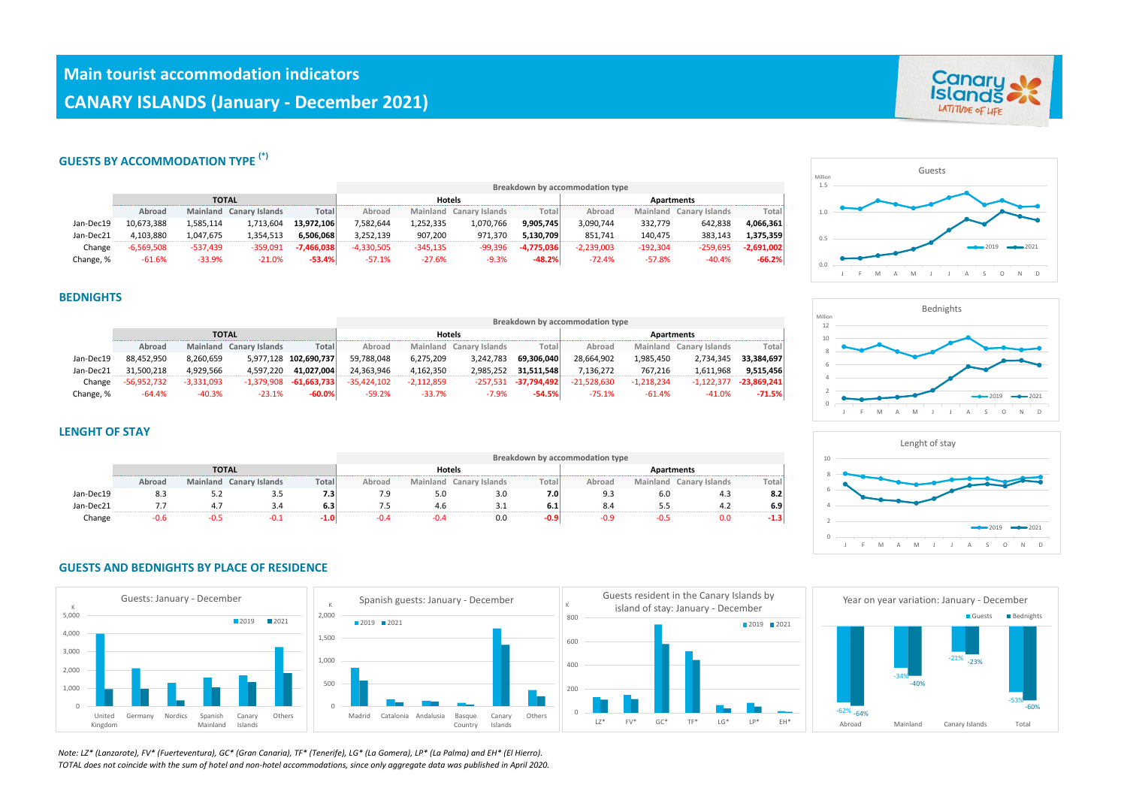# **GUESTS BY ACCOMMODATION TYPE (\*)**

|           |              |              |                         |              | Breakdown by accommodation type |            |                         |              |              |            |                         |              |  |  |
|-----------|--------------|--------------|-------------------------|--------------|---------------------------------|------------|-------------------------|--------------|--------------|------------|-------------------------|--------------|--|--|
|           |              | <b>TOTAL</b> |                         |              | <b>Hotels</b>                   |            |                         |              | Apartments   |            |                         |              |  |  |
|           | Abroad       |              | Mainland Canary Islands | Total        | Abroad                          |            | Mainland Canary Islands | Total        | Abroad       |            | Mainland Canary Islands | Total        |  |  |
| Jan-Dec19 | 10.673.388   | 1,585,114    | 1,713,604               | 13.972.106   | 7,582,644                       | 1,252,335  | 1,070,766               | 9.905.745    | 3.090.744    | 332,779    | 642.838                 | 4,066,361    |  |  |
| Jan-Dec21 | 4.103.880    | 1.047.675    | 1,354,513               | 6.506.068    | 3,252,139                       | 907,200    | 971,370                 | 5.130.709    | 851.741      | 140.475    | 383.143                 | 1,375,359    |  |  |
| Change    | $-6.569.508$ | $-537.439$   | $-359.091$              | $-7.466.038$ | $-4,330,505$                    | $-345,135$ | $-99.396$               | $-4.775.036$ | $-2.239.003$ | $-192.304$ | $-259.695$              | $-2,691,002$ |  |  |
| Change, % | $-61.6%$     | $-33.9%$     | $-21.0%$                | $-53.4%$     | $-57.1%$                        | $-27.6%$   | $-9.3%$                 | $-48.2%$     | $-72.4%$     | $-57.8%$   | $-40.4%$                | $-66.2%$     |  |  |

### **BEDNIGHTS**

|           |               |              |                         |                            | Breakdown by accommodation type |              |                         |               |                   |              |                         |               |  |
|-----------|---------------|--------------|-------------------------|----------------------------|---------------------------------|--------------|-------------------------|---------------|-------------------|--------------|-------------------------|---------------|--|
|           |               | <b>TOTAL</b> |                         |                            | <b>Hotels</b>                   |              |                         |               | <b>Apartments</b> |              |                         |               |  |
|           | Abroad        |              | Mainland Canary Islands | Total                      | Abroad                          |              | Mainland Canary Islands | Total         | Abroad            |              | Mainland Canary Islands | Total         |  |
| Jan-Dec19 | 88,452,950    | 8.260.659    |                         | 5,977,128 102,690,737      | 59.788.048                      | 6,275,209    | 3,242,783               | 69.306.040    | 28.664.902        | 1,985,450    | 2,734,345               | 33.384.697    |  |
| Jan-Dec21 | 31.500.218    | 4.929.566    | 4.597.220               | 41.027.004                 | 24.363.946                      | 4,162,350    | 2.985.252               | 31.511.548    | 7.136.272         | 767.216      | 1,611,968               | 9,515,456     |  |
| Change    | $-56,952,732$ | $-3,331,093$ |                         | $-1,379,908$ $-61,663,733$ | $-35.424.102$                   | $-2,112,859$ | -257.531                | $-37,794,492$ | $-21.528.630$     | $-1,218,234$ | $-1,122,377$            | $-23,869,241$ |  |
| Change, % | $-64.4%$      | $-40.3%$     | $-23.1%$                | $-60.0%$                   | $-59.2%$                        | $-33.7%$     | $-7.9%$                 | $-54.5%$      | $-75.1%$          | $-61.4%$     | $-41.0%$                | $-71.5%$      |  |

### **LENGHT OF STAY**

|           |        |              |                         |       | Breakdown by accommodation type |          |                       |        |            |     |                         |        |  |
|-----------|--------|--------------|-------------------------|-------|---------------------------------|----------|-----------------------|--------|------------|-----|-------------------------|--------|--|
|           |        | <b>TOTAL</b> |                         |       | <b>Hotels</b>                   |          |                       |        | Apartments |     |                         |        |  |
|           | Abroad |              | Mainland Canary Islands | Total | Abroad                          | Mainland | <b>Canary Islands</b> | Total, | Abroad     |     | Mainland Canary Islands | Total, |  |
| Jan-Dec19 | 8.3    | ے.ت          | .                       | 7.3   |                                 | 5.U      | 3.0                   | 7.0    | 9.3        | 6.0 | 4.3                     | 8.2    |  |
| Jan-Dec21 |        |              |                         | 6.3   |                                 | 4.6      |                       | 6.1    | 8.4        |     | 4.2                     | 6.9'   |  |
| Change    |        |              |                         | '0.∡  |                                 |          | 0.0                   | -0.9   | -0.9       |     | 0.0                     | $-1.3$ |  |

### **GUESTS AND BEDNIGHTS BY PLACE OF RESIDENCE**



*Note: LZ\* (Lanzarote), FV\* (Fuerteventura), GC\* (Gran Canaria), TF\* (Tenerife), LG\* (La Gomera), LP\* (La Palma) and EH\* (El Hierro). TOTAL does not coincide with the sum of hotel and non-hotel accommodations, since only aggregate data was published in April 2020.*